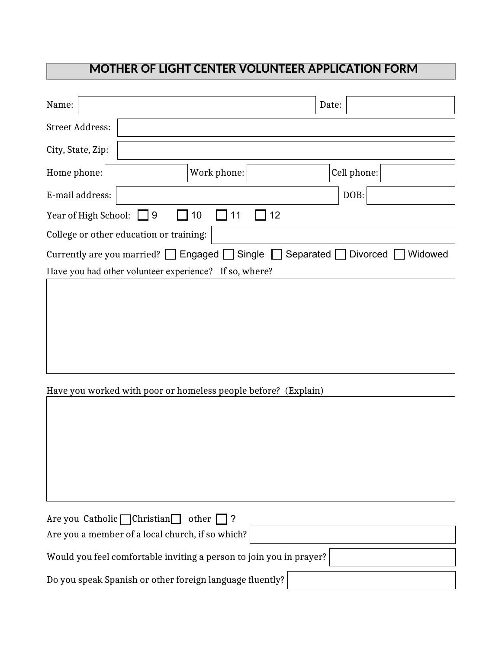# **MOTHER OF LIGHT CENTER VOLUNTEER APPLICATION FORM**

| Name:                                                                          |                                                                                                 |    | Date: |             |         |
|--------------------------------------------------------------------------------|-------------------------------------------------------------------------------------------------|----|-------|-------------|---------|
| <b>Street Address:</b>                                                         |                                                                                                 |    |       |             |         |
| City, State, Zip:                                                              |                                                                                                 |    |       |             |         |
| Home phone:                                                                    | Work phone:                                                                                     |    |       | Cell phone: |         |
| E-mail address:                                                                |                                                                                                 |    |       | DOB:        |         |
| Year of High School: $\Box$ 9                                                  | 10<br>11                                                                                        | 12 |       |             |         |
| College or other education or training:                                        |                                                                                                 |    |       |             |         |
|                                                                                | Currently are you married? $\Box$ Engaged $\Box$ Single $\Box$ Separated $\Box$ Divorced $\Box$ |    |       |             | Widowed |
|                                                                                | Have you had other volunteer experience? If so, where?                                          |    |       |             |         |
|                                                                                |                                                                                                 |    |       |             |         |
|                                                                                | Have you worked with poor or homeless people before? (Explain)                                  |    |       |             |         |
|                                                                                |                                                                                                 |    |       |             |         |
| Are you Catholic Christian<br>Are you a member of a local church, if so which? | other<br>$\ddot{?}$                                                                             |    |       |             |         |
|                                                                                | Would you feel comfortable inviting a person to join you in prayer?                             |    |       |             |         |
|                                                                                | Do you speak Spanish or other foreign language fluently?                                        |    |       |             |         |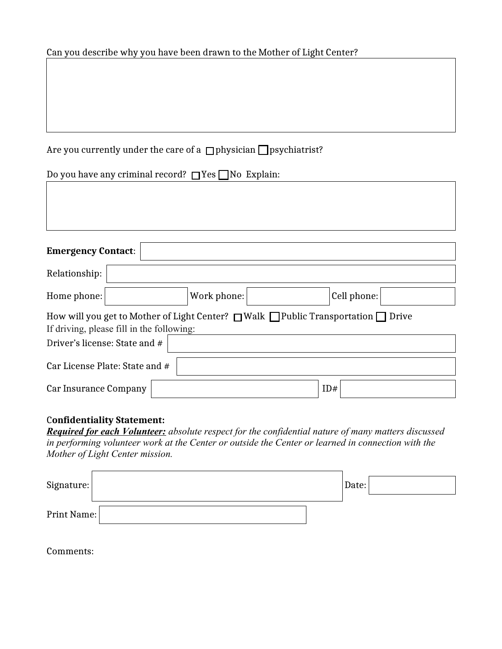#### Can you describe why you have been drawn to the Mother of Light Center?

## Are you currently under the care of a  $\Box$  physician  $\Box$  psychiatrist?

Do you have any criminal record?  $\Box$  Yes  $\Box$  No Explain:

| <b>Emergency Contact:</b>                                                                                                                      |  |             |  |             |  |  |
|------------------------------------------------------------------------------------------------------------------------------------------------|--|-------------|--|-------------|--|--|
| Relationship:                                                                                                                                  |  |             |  |             |  |  |
| Home phone:                                                                                                                                    |  | Work phone: |  | Cell phone: |  |  |
| How will you get to Mother of Light Center? $\Box$ Walk $\Box$ Public Transportation $\Box$ Drive<br>If driving, please fill in the following: |  |             |  |             |  |  |
| Driver's license: State and #                                                                                                                  |  |             |  |             |  |  |
| Car License Plate: State and #                                                                                                                 |  |             |  |             |  |  |
| Car Insurance Company                                                                                                                          |  |             |  | ID#         |  |  |

## C**onfidentiality Statement:**

*Required for each Volunteer: absolute respect for the confidential nature of many matters discussed in performing volunteer work at the Center or outside the Center or learned in connection with the Mother of Light Center mission.*

| Signature:  |  | Date: |  |
|-------------|--|-------|--|
| Print Name: |  |       |  |

Comments: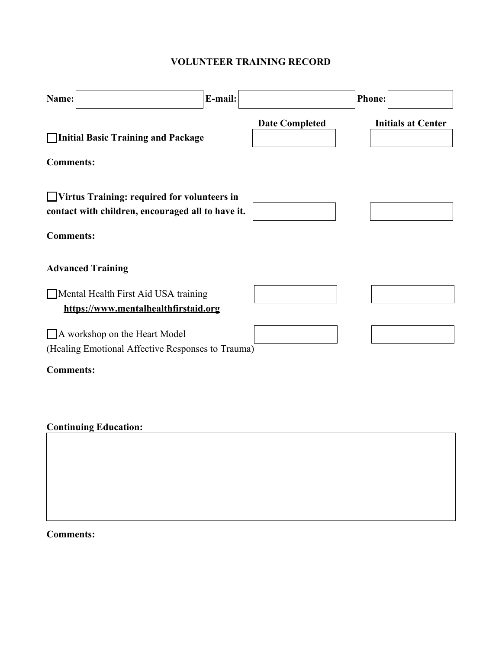## **VOLUNTEER TRAINING RECORD**

| Name:                                                                                              | E-mail: |                       | <b>Phone:</b>             |
|----------------------------------------------------------------------------------------------------|---------|-----------------------|---------------------------|
| Initial Basic Training and Package                                                                 |         | <b>Date Completed</b> | <b>Initials at Center</b> |
| <b>Comments:</b>                                                                                   |         |                       |                           |
| □ Virtus Training: required for volunteers in<br>contact with children, encouraged all to have it. |         |                       |                           |
| <b>Comments:</b>                                                                                   |         |                       |                           |
| <b>Advanced Training</b>                                                                           |         |                       |                           |
| Mental Health First Aid USA training<br>https://www.mentalhealthfirstaid.org                       |         |                       |                           |
| A workshop on the Heart Model                                                                      |         |                       |                           |
| (Healing Emotional Affective Responses to Trauma)                                                  |         |                       |                           |
| <b>Comments:</b>                                                                                   |         |                       |                           |
|                                                                                                    |         |                       |                           |
| <b>Continuing Education:</b>                                                                       |         |                       |                           |
|                                                                                                    |         |                       |                           |
|                                                                                                    |         |                       |                           |
|                                                                                                    |         |                       |                           |

**Comments:**